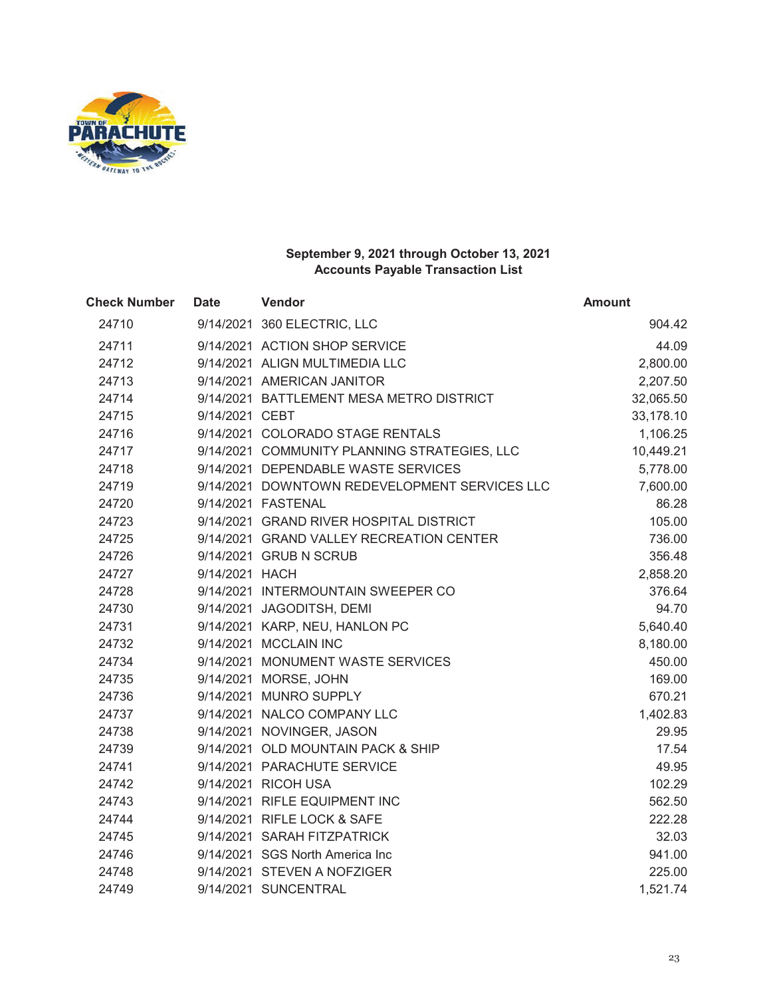

| <b>Check Number</b> | <b>Date</b>    | Vendor                                        | <b>Amount</b> |
|---------------------|----------------|-----------------------------------------------|---------------|
| 24710               |                | 9/14/2021 360 ELECTRIC, LLC                   | 904.42        |
| 24711               |                | 9/14/2021 ACTION SHOP SERVICE                 | 44.09         |
| 24712               |                | 9/14/2021 ALIGN MULTIMEDIA LLC                | 2,800.00      |
| 24713               |                | 9/14/2021 AMERICAN JANITOR                    | 2,207.50      |
| 24714               |                | 9/14/2021 BATTLEMENT MESA METRO DISTRICT      | 32,065.50     |
| 24715               | 9/14/2021 CEBT |                                               | 33,178.10     |
| 24716               |                | 9/14/2021 COLORADO STAGE RENTALS              | 1,106.25      |
| 24717               |                | 9/14/2021 COMMUNITY PLANNING STRATEGIES, LLC  | 10,449.21     |
| 24718               |                | 9/14/2021 DEPENDABLE WASTE SERVICES           | 5,778.00      |
| 24719               |                | 9/14/2021 DOWNTOWN REDEVELOPMENT SERVICES LLC | 7,600.00      |
| 24720               |                | 9/14/2021 FASTENAL                            | 86.28         |
| 24723               |                | 9/14/2021 GRAND RIVER HOSPITAL DISTRICT       | 105.00        |
| 24725               |                | 9/14/2021 GRAND VALLEY RECREATION CENTER      | 736.00        |
| 24726               |                | 9/14/2021 GRUB N SCRUB                        | 356.48        |
| 24727               | 9/14/2021 HACH |                                               | 2,858.20      |
| 24728               |                | 9/14/2021 INTERMOUNTAIN SWEEPER CO            | 376.64        |
| 24730               |                | 9/14/2021 JAGODITSH, DEMI                     | 94.70         |
| 24731               |                | 9/14/2021 KARP, NEU, HANLON PC                | 5,640.40      |
| 24732               |                | 9/14/2021 MCCLAIN INC                         | 8,180.00      |
| 24734               |                | 9/14/2021 MONUMENT WASTE SERVICES             | 450.00        |
| 24735               |                | 9/14/2021 MORSE, JOHN                         | 169.00        |
| 24736               |                | 9/14/2021 MUNRO SUPPLY                        | 670.21        |
| 24737               |                | 9/14/2021 NALCO COMPANY LLC                   | 1,402.83      |
| 24738               |                | 9/14/2021 NOVINGER, JASON                     | 29.95         |
| 24739               |                | 9/14/2021 OLD MOUNTAIN PACK & SHIP            | 17.54         |
| 24741               |                | 9/14/2021 PARACHUTE SERVICE                   | 49.95         |
| 24742               |                | 9/14/2021 RICOH USA                           | 102.29        |
| 24743               |                | 9/14/2021 RIFLE EQUIPMENT INC                 | 562.50        |
| 24744               |                | 9/14/2021 RIFLE LOCK & SAFE                   | 222.28        |
| 24745               |                | 9/14/2021 SARAH FITZPATRICK                   | 32.03         |
| 24746               |                | 9/14/2021 SGS North America Inc               | 941.00        |
| 24748               |                | 9/14/2021 STEVEN A NOFZIGER                   | 225.00        |
| 24749               |                | 9/14/2021 SUNCENTRAL                          | 1,521.74      |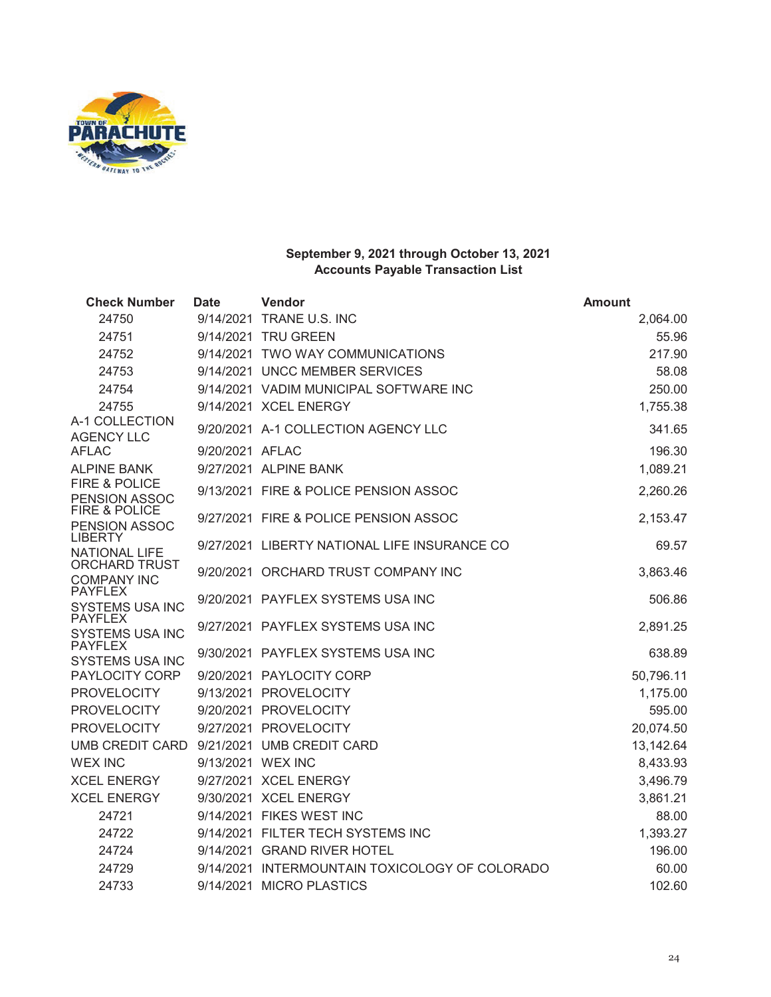

| <b>Check Number</b>                        | <b>Date</b>     | Vendor                                         | <b>Amount</b> |
|--------------------------------------------|-----------------|------------------------------------------------|---------------|
| 24750                                      |                 | 9/14/2021 TRANE U.S. INC                       | 2,064.00      |
| 24751                                      |                 | 9/14/2021 TRU GREEN                            | 55.96         |
| 24752                                      |                 | 9/14/2021 TWO WAY COMMUNICATIONS               | 217.90        |
| 24753                                      |                 | 9/14/2021 UNCC MEMBER SERVICES                 | 58.08         |
| 24754                                      |                 | 9/14/2021 VADIM MUNICIPAL SOFTWARE INC         | 250.00        |
| 24755                                      |                 | 9/14/2021 XCEL ENERGY                          | 1,755.38      |
| A-1 COLLECTION<br><b>AGENCY LLC</b>        |                 | 9/20/2021 A-1 COLLECTION AGENCY LLC            | 341.65        |
| <b>AFLAC</b>                               | 9/20/2021 AFLAC |                                                | 196.30        |
| <b>ALPINE BANK</b>                         |                 | 9/27/2021 ALPINE BANK                          | 1,089.21      |
| FIRE & POLICE<br>PENSION ASSOC             |                 | 9/13/2021 FIRE & POLICE PENSION ASSOC          | 2,260.26      |
| <b>FIRE &amp; POLICE</b><br>PENSION ASSOC  |                 | 9/27/2021 FIRE & POLICE PENSION ASSOC          | 2,153.47      |
| <b>LIBERTY</b><br><b>NATIONAL LIFE</b>     |                 | 9/27/2021 LIBERTY NATIONAL LIFE INSURANCE CO   | 69.57         |
| <b>ORCHARD TRUST</b><br><b>COMPANY INC</b> |                 | 9/20/2021 ORCHARD TRUST COMPANY INC            | 3,863.46      |
| <b>PAYFLEX</b><br><b>SYSTEMS USA INC</b>   |                 | 9/20/2021 PAYFLEX SYSTEMS USA INC              | 506.86        |
| <b>PAYFLEX</b><br><b>SYSTEMS USA INC</b>   |                 | 9/27/2021 PAYFLEX SYSTEMS USA INC              | 2,891.25      |
| <b>PAYFLEX</b><br><b>SYSTEMS USA INC</b>   |                 | 9/30/2021 PAYFLEX SYSTEMS USA INC              | 638.89        |
| PAYLOCITY CORP                             |                 | 9/20/2021 PAYLOCITY CORP                       | 50,796.11     |
| <b>PROVELOCITY</b>                         |                 | 9/13/2021 PROVELOCITY                          | 1,175.00      |
| <b>PROVELOCITY</b>                         |                 | 9/20/2021 PROVELOCITY                          | 595.00        |
| <b>PROVELOCITY</b>                         |                 | 9/27/2021 PROVELOCITY                          | 20,074.50     |
| <b>UMB CREDIT CARD</b>                     |                 | 9/21/2021 UMB CREDIT CARD                      | 13,142.64     |
| <b>WEX INC</b>                             |                 | 9/13/2021 WEX INC                              | 8,433.93      |
| <b>XCEL ENERGY</b>                         |                 | 9/27/2021 XCEL ENERGY                          | 3,496.79      |
| <b>XCEL ENERGY</b>                         |                 | 9/30/2021 XCEL ENERGY                          | 3,861.21      |
| 24721                                      |                 | 9/14/2021 FIKES WEST INC                       | 88.00         |
| 24722                                      |                 | 9/14/2021 FILTER TECH SYSTEMS INC              | 1,393.27      |
| 24724                                      |                 | 9/14/2021 GRAND RIVER HOTEL                    | 196.00        |
| 24729                                      |                 | 9/14/2021 INTERMOUNTAIN TOXICOLOGY OF COLORADO | 60.00         |
| 24733                                      |                 | 9/14/2021 MICRO PLASTICS                       | 102.60        |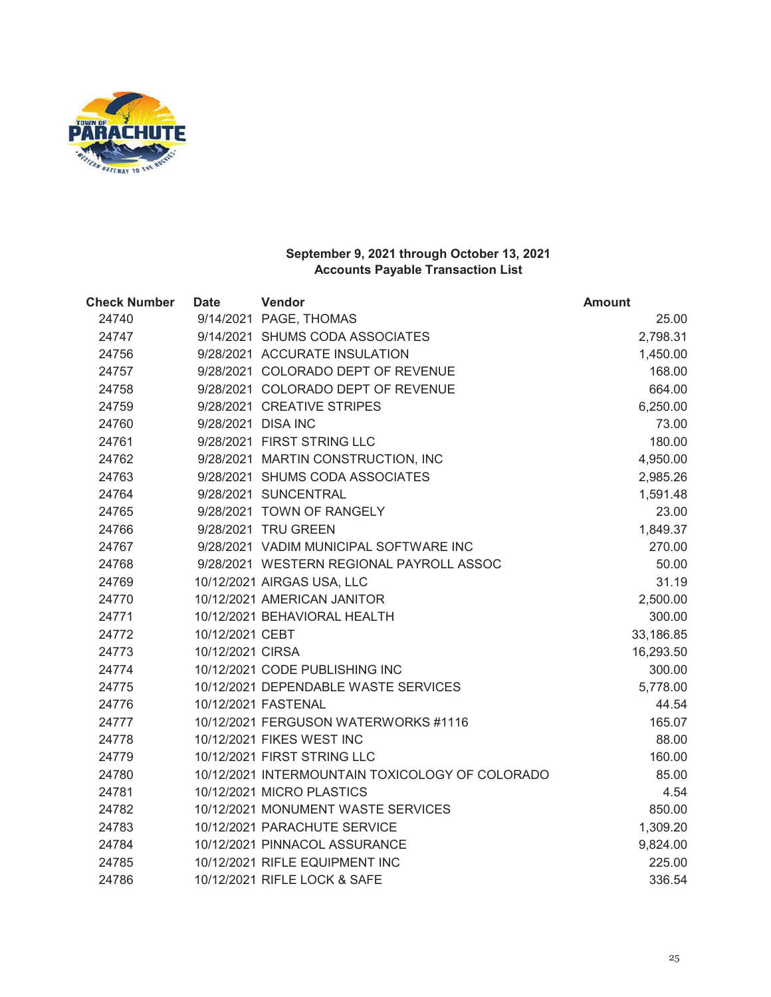

| <b>Check Number</b> | <b>Date</b>        | Vendor                                          | <b>Amount</b> |
|---------------------|--------------------|-------------------------------------------------|---------------|
| 24740               |                    | 9/14/2021 PAGE, THOMAS                          | 25.00         |
| 24747               |                    | 9/14/2021 SHUMS CODA ASSOCIATES                 | 2,798.31      |
| 24756               |                    | 9/28/2021 ACCURATE INSULATION                   | 1,450.00      |
| 24757               |                    | 9/28/2021 COLORADO DEPT OF REVENUE              | 168.00        |
| 24758               |                    | 9/28/2021 COLORADO DEPT OF REVENUE              | 664.00        |
| 24759               |                    | 9/28/2021 CREATIVE STRIPES                      | 6,250.00      |
| 24760               | 9/28/2021 DISA INC |                                                 | 73.00         |
| 24761               |                    | 9/28/2021 FIRST STRING LLC                      | 180.00        |
| 24762               |                    | 9/28/2021 MARTIN CONSTRUCTION, INC              | 4,950.00      |
| 24763               |                    | 9/28/2021 SHUMS CODA ASSOCIATES                 | 2,985.26      |
| 24764               |                    | 9/28/2021 SUNCENTRAL                            | 1,591.48      |
| 24765               |                    | 9/28/2021 TOWN OF RANGELY                       | 23.00         |
| 24766               |                    | 9/28/2021 TRU GREEN                             | 1,849.37      |
| 24767               |                    | 9/28/2021 VADIM MUNICIPAL SOFTWARE INC          | 270.00        |
| 24768               |                    | 9/28/2021 WESTERN REGIONAL PAYROLL ASSOC        | 50.00         |
| 24769               |                    | 10/12/2021 AIRGAS USA, LLC                      | 31.19         |
| 24770               |                    | 10/12/2021 AMERICAN JANITOR                     | 2,500.00      |
| 24771               |                    | 10/12/2021 BEHAVIORAL HEALTH                    | 300.00        |
| 24772               | 10/12/2021 CEBT    |                                                 | 33,186.85     |
| 24773               | 10/12/2021 CIRSA   |                                                 | 16,293.50     |
| 24774               |                    | 10/12/2021 CODE PUBLISHING INC                  | 300.00        |
| 24775               |                    | 10/12/2021 DEPENDABLE WASTE SERVICES            | 5,778.00      |
| 24776               |                    | 10/12/2021 FASTENAL                             | 44.54         |
| 24777               |                    | 10/12/2021 FERGUSON WATERWORKS #1116            | 165.07        |
| 24778               |                    | 10/12/2021 FIKES WEST INC                       | 88.00         |
| 24779               |                    | 10/12/2021 FIRST STRING LLC                     | 160.00        |
| 24780               |                    | 10/12/2021 INTERMOUNTAIN TOXICOLOGY OF COLORADO | 85.00         |
| 24781               |                    | 10/12/2021 MICRO PLASTICS                       | 4.54          |
| 24782               |                    | 10/12/2021 MONUMENT WASTE SERVICES              | 850.00        |
| 24783               |                    | 10/12/2021 PARACHUTE SERVICE                    | 1,309.20      |
| 24784               |                    | 10/12/2021 PINNACOL ASSURANCE                   | 9,824.00      |
| 24785               |                    | 10/12/2021 RIFLE EQUIPMENT INC                  | 225.00        |
| 24786               |                    | 10/12/2021 RIFLE LOCK & SAFE                    | 336.54        |